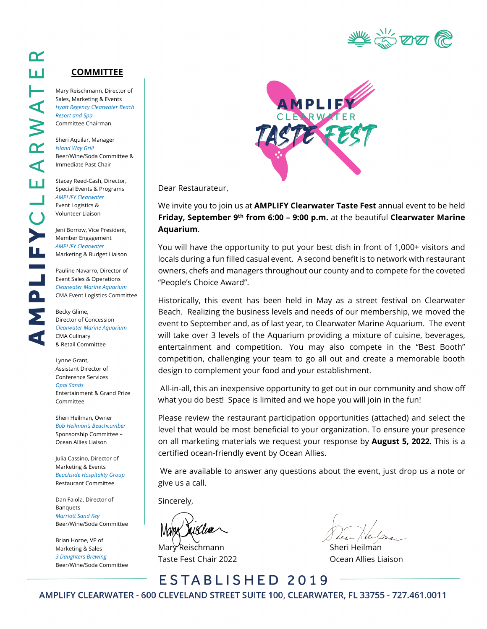

#### **COMMITTEE**

Mary Reischmann, Director of Sales, Marketing & Events *Hyatt Regency Clearwater Beach Resort and Spa* Committee Chairman

Sheri Aquilar, Manager *Island Way Grill* Beer/Wine/Soda Committee & Immediate Past Chair

Stacey Reed-Cash, Director, Special Events & Programs *AMPLIFY Clearwater* Event Logistics & Volunteer Liaison

Jeni Borrow, Vice President, Member Engagement *AMPLIFY Clearwater* Marketing & Budget Liaison

Pauline Navarro, Director of Event Sales & Operations *Clearwater Marine Aquarium* CMA Event Logistics Committee

Becky Glime, Director of Concession *Clearwater Marine Aquarium* CMA Culinary & Retail Committee

Lynne Grant, Assistant Director of Conference Services *Opal Sands* Entertainment & Grand Prize Committee

Sheri Heilman, Owner *Bob Heilman's Beachcomber* Sponsorship Committee – Ocean Allies Liaison

Julia Cassino, Director of Marketing & Events *Beachside Hospitality Group* Restaurant Committee

Dan Faiola, Director of **Banquets** *Marriott Sand Key* Beer/Wine/Soda Committee

Brian Horne, VP of Marketing & Sales *3 Daughters Brewing* Beer/Wine/Soda Committee



Dear Restaurateur,

We invite you to join us at **AMPLIFY Clearwater Taste Fest** annual event to be held **Friday, September 9th from 6:00 – 9:00 p.m.** at the beautiful **Clearwater Marine Aquarium**.

You will have the opportunity to put your best dish in front of 1,000+ visitors and locals during a fun filled casual event. A second benefit is to network with restaurant owners, chefs and managers throughout our county and to compete for the coveted "People's Choice Award".

Historically, this event has been held in May as a street festival on Clearwater Beach. Realizing the business levels and needs of our membership, we moved the event to September and, as of last year, to Clearwater Marine Aquarium. The event will take over 3 levels of the Aquarium providing a mixture of cuisine, beverages, entertainment and competition. You may also compete in the "Best Booth" competition, challenging your team to go all out and create a memorable booth design to complement your food and your establishment.

 All-in-all, this an inexpensive opportunity to get out in our community and show off what you do best! Space is limited and we hope you will join in the fun!

Please review the restaurant participation opportunities (attached) and select the level that would be most beneficial to your organization. To ensure your presence on all marketing materials we request your response by **August 5, 2022**. This is a certified ocean-friendly event by Ocean Allies.

 We are available to answer any questions about the event, just drop us a note or give us a call.

Sincerely,

Mary Reischmann Sheri Heilman Taste Fest Chair 2022 Ocean Allies Liaison

ESTABLISHED 2019 AMPLIFY CLEARWATER - 600 CLEVELAND STREET SUITE 100, CLEARWATER, FL 33755 - 727.461.0011

Œ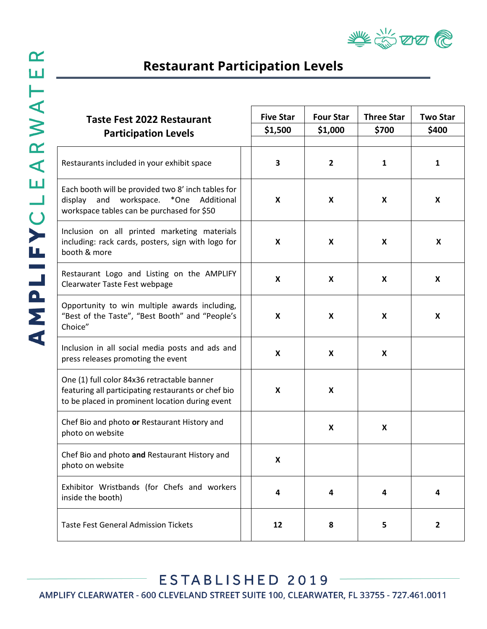

## **Restaurant Participation Levels**

| <b>Taste Fest 2022 Restaurant</b><br><b>Participation Levels</b>                                                                                      | <b>Five Star</b><br>\$1,500 | <b>Four Star</b><br>\$1,000 | <b>Three Star</b><br>\$700 | <b>Two Star</b><br>\$400 |
|-------------------------------------------------------------------------------------------------------------------------------------------------------|-----------------------------|-----------------------------|----------------------------|--------------------------|
| Restaurants included in your exhibit space                                                                                                            | 3                           | $\overline{2}$              | 1                          | $\mathbf{1}$             |
| Each booth will be provided two 8' inch tables for<br>display and workspace. *One Additional<br>workspace tables can be purchased for \$50            | X                           | X                           | X                          | X                        |
| Inclusion on all printed marketing materials<br>including: rack cards, posters, sign with logo for<br>booth & more                                    | X                           | X                           | X                          | X                        |
| Restaurant Logo and Listing on the AMPLIFY<br>Clearwater Taste Fest webpage                                                                           | X                           | X                           | X                          | X                        |
| Opportunity to win multiple awards including,<br>"Best of the Taste", "Best Booth" and "People's<br>Choice"                                           | X                           | X                           | X                          | X                        |
| Inclusion in all social media posts and ads and<br>press releases promoting the event                                                                 | X                           | X                           | X                          |                          |
| One (1) full color 84x36 retractable banner<br>featuring all participating restaurants or chef bio<br>to be placed in prominent location during event | X                           | X                           |                            |                          |
| Chef Bio and photo or Restaurant History and<br>photo on website                                                                                      |                             | X                           | X                          |                          |
| Chef Bio and photo and Restaurant History and<br>photo on website                                                                                     | X                           |                             |                            |                          |
| Exhibitor Wristbands (for Chefs and workers<br>inside the booth)                                                                                      | 4                           | 4                           | 4                          | 4                        |
| <b>Taste Fest General Admission Tickets</b>                                                                                                           | 12                          | 8                           | 5                          | $\overline{2}$           |

ESTABLISHED 2019 AMPLIFY CLEARWATER - 600 CLEVELAND STREET SUITE 100, CLEARWATER, FL 33755 - 727.461.0011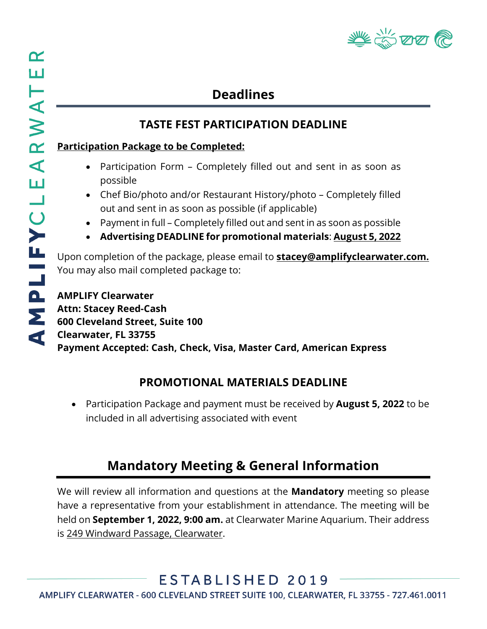

# **Deadlines**

#### **TASTE FEST PARTICIPATION DEADLINE**

#### **Participation Package to be Completed:**

- Participation Form Completely filled out and sent in as soon as possible
- Chef Bio/photo and/or Restaurant History/photo Completely filled out and sent in as soon as possible (if applicable)
- Payment in full Completely filled out and sent in as soon as possible
- **Advertising DEADLINE for promotional materials**: **August 5, 2022**

Upon completion of the package, please email to **[stacey@amplifyclearwater.com.](mailto:stacey@amplifyclearwater.com)**  You may also mail completed package to:

**AMPLIFY Clearwater Attn: Stacey Reed-Cash 600 Cleveland Street, Suite 100 Clearwater, FL 33755 Payment Accepted: Cash, Check, Visa, Master Card, American Express**

#### **PROMOTIONAL MATERIALS DEADLINE**

• Participation Package and payment must be received by **August 5, 2022** to be included in all advertising associated with event

#### **Mandatory Meeting & General Information**

We will review all information and questions at the **Mandatory** meeting so please have a representative from your establishment in attendance. The meeting will be held on **September 1, 2022, 9:00 am.** at Clearwater Marine Aquarium. Their address is 249 Windward Passage, Clearwater.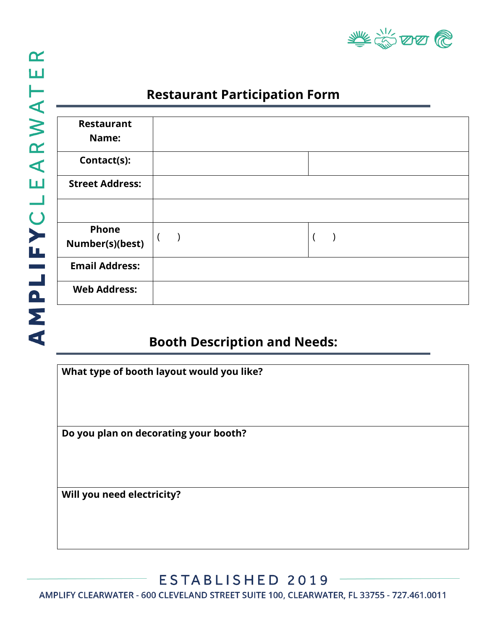

## **Restaurant Participation Form**

| <b>Restaurant</b><br>Name:      |  |
|---------------------------------|--|
| Contact(s):                     |  |
| <b>Street Address:</b>          |  |
|                                 |  |
| <b>Phone</b><br>Number(s)(best) |  |
| <b>Email Address:</b>           |  |
| <b>Web Address:</b>             |  |

#### **Booth Description and Needs:**

| What type of booth layout would you like? |  |
|-------------------------------------------|--|
| Do you plan on decorating your booth?     |  |
| Will you need electricity?                |  |
|                                           |  |

ESTABLISHED 2019

AMPLIFY CLEARWATER - 600 CLEVELAND STREET SUITE 100, CLEARWATER, FL 33755 - 727.461.0011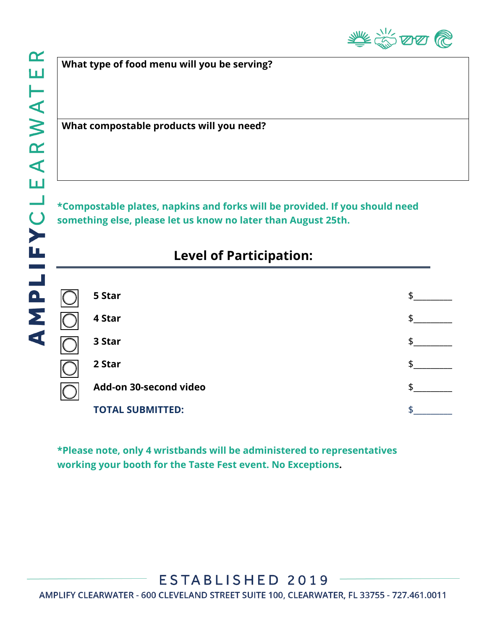**What type of food menu will you be serving?**

**What compostable products will you need?**

**\*Compostable plates, napkins and forks will be provided. If you should need something else, please let us know no later than August 25th.**

## **Level of Participation:**

| 5 Star                  |    |
|-------------------------|----|
| 4 Star                  | S  |
| 3 Star                  |    |
| 2 Star                  | \$ |
| Add-on 30-second video  | đ  |
| <b>TOTAL SUBMITTED:</b> |    |

**\*Please note, only 4 wristbands will be administered to representatives working your booth for the Taste Fest event. No Exceptions.**

AMPLIFY CLEARWATER - 600 CLEVELAND STREET SUITE 100, CLEARWATER, FL 33755 - 727.461.0011